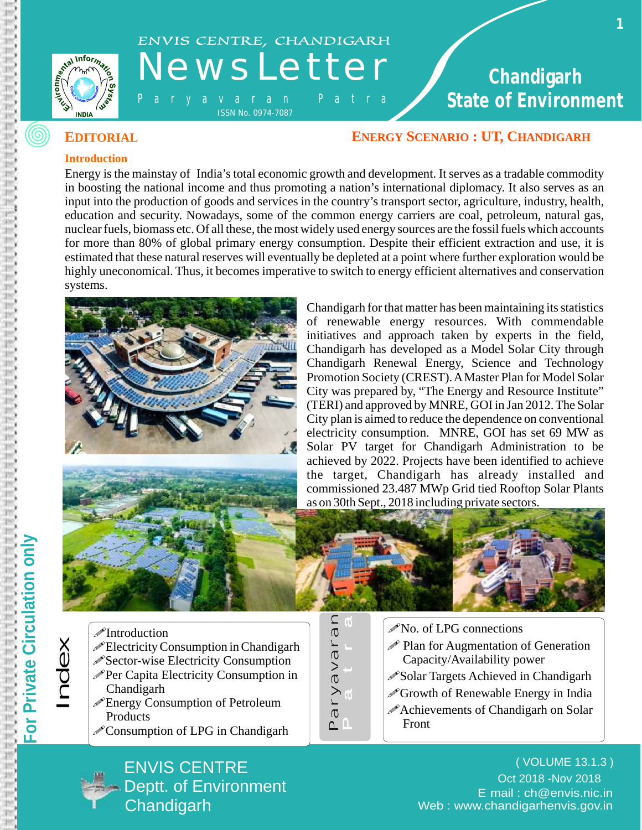



# ENVIS CENTRE, CHANDIGARH<br>N e W S L e t t e r

- P a r y a v a r a n P a t r a ISSN No. 0974-7087

 **State of Environment Chandigarh**  ENVIS CENTRE, CHANDIGARH **ENERGY SCENARIO : UT, CHANDIGARH** State of Environm

**1** 

#### **ENERGY SCENARIO : UT, CHANDIGARH**

#### **Introduction**

Energy is the mainstay of India's total economic growth and development. It serves as a tradable commodity in boosting the national income and thus promoting a nation's international diplomacy. It also serves as an input into the production of goods and services in the country's transport sector, agriculture, industry, health, education and security. Nowadays, some of the common energy carriers are coal, petroleum, natural gas, nuclear fuels, biomass etc. Of all these, the most widely used energy sources are the fossil fuels which accounts for more than 80% of global primary energy consumption. Despite their efficient extraction and use, it is estimated that these natural reserves will eventually be depleted at a point where further exploration would be highly uneconomical. Thus, it becomes imperative to switch to energy efficient alternatives and conservation systems.



 of renewable energy resources. With commendable the target, Chandigarh has already installed and Chandigarh for that matter has been maintaining its statistics initiatives and approach taken by experts in the field, Chandigarh has developed as a Model Solar City through Chandigarh Renewal Energy, Science and Technology Promotion Society (CREST). AMaster Plan for Model Solar City was prepared by, "The Energy and Resource Institute" (TERI) and approved by MNRE, GOI in Jan 2012. The Solar City plan is aimed to reduce the dependence on conventional electricity consumption. MNRE, GOI has set 69 MW as Solar PV target for Chandigarh Administration to be achieved by 2022. Projects have been identified to achieve commissioned 23.487 MWp Grid tied Rooftop Solar Plants as on 30th Sept., 2018 including private sectors.



- *<del>*Introduction</del>
- $\mathscr{P}$ Electricity Consumption in Chandigarh
- $\mathscr{D}$  Sector-wise Electricity Consumption
- $\mathscr{P}$ Per Capita Electricity Consumption in Chandigarh
- •Energy Consumption of Petroleum **Products**

ENVIS CENTRE

**Chandigarh** 

**Deptt. of Environment** 

 $\mathscr{O}$ Consumption of LPG in Chandigarh



- $\mathscr{P}$ No. of LPG connections
- $\mathscr P$  Plan for Augmentation of Generation Capacity/Availability power
- $\mathscr{S}$ Solar Targets Achieved in Chandigarh
- $\mathscr{O}$  Growth of Renewable Energy in India
- $\mathscr P$ Achievements of Chandigarh on Solar Front

 - E mail : ch@envis.nic.in Web : www.chandigarhenvis.gov.in ( VOLUME 13.1.3 ) Oct 2018 -Nov 2018

Index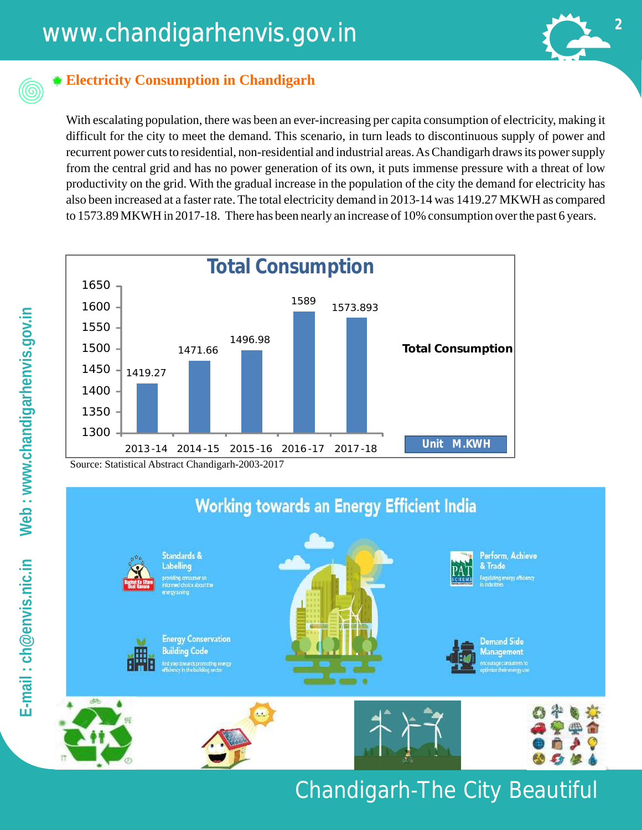### www.chandigarhenvis.gov.in **<sup>2</sup>**



### **Electricity Consumption in Chandigarh**

With escalating population, there was been an ever-increasing per capita consumption of electricity, making it difficult for the city to meet the demand. This scenario, in turn leads to discontinuous supply of power and recurrent power cuts to residential, non-residential and industrial areas. As Chandigarh draws its power supply from the central grid and has no power generation of its own, it puts immense pressure with a threat of low productivity on the grid. With the gradual increase in the population of the city the demand for electricity has also been increased at a faster rate. The total electricity demand in 2013-14 was 1419.27 MKWH as compared to 1573.89 MKWH in 2017-18. There has been nearly an increase of 10% consumption over the past 6 years.



Source: Statistical Abstract Chandigarh-2003-2017

### **Working towards an Energy Efficient India**



### Chandigarh-The City Beautiful

 $\circledcirc$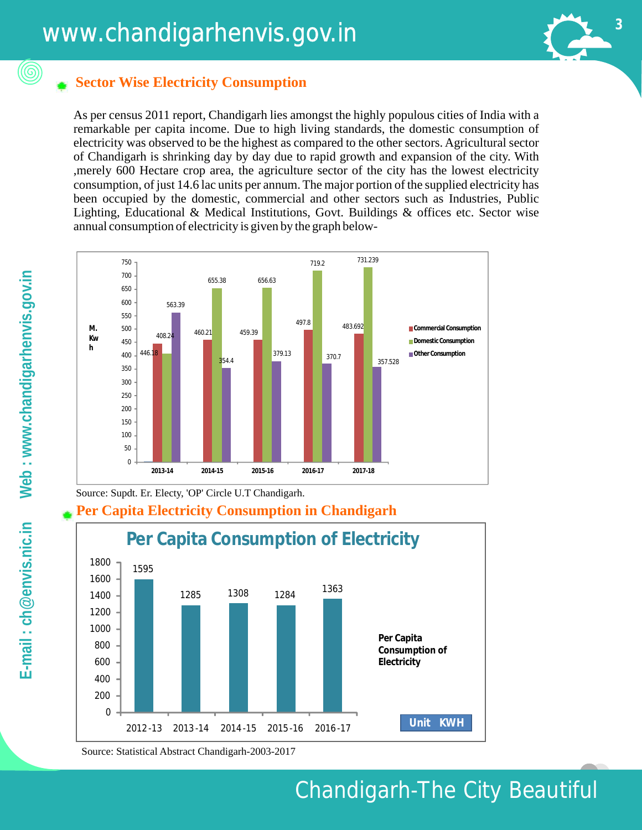

#### **Sector Wise Electricity Consumption**

As per census 2011 report, Chandigarh lies amongst the highly populous cities of India with a remarkable per capita income. Due to high living standards, the domestic consumption of electricity was observed to be the highest as compared to the other sectors. Agricultural sector of Chandigarh is shrinking day by day due to rapid growth and expansion of the city. With ,merely 600 Hectare crop area, the agriculture sector of the city has the lowest electricity consumption, of just 14.6 lac units per annum. The major portion of the supplied electricity has been occupied by the domestic, commercial and other sectors such as Industries, Public Lighting, Educational & Medical Institutions, Govt. Buildings & offices etc. Sector wise annual consumption of electricity is given by the graph below-



Source: Supdt. Er. Electy, 'OP' Circle U.T Chandigarh.

#### **Per Capita Electricity Consumption in Chandigarh**



Source: Statistical Abstract Chandigarh-2003-2017

(©)

### Chandigarh-The City Beautiful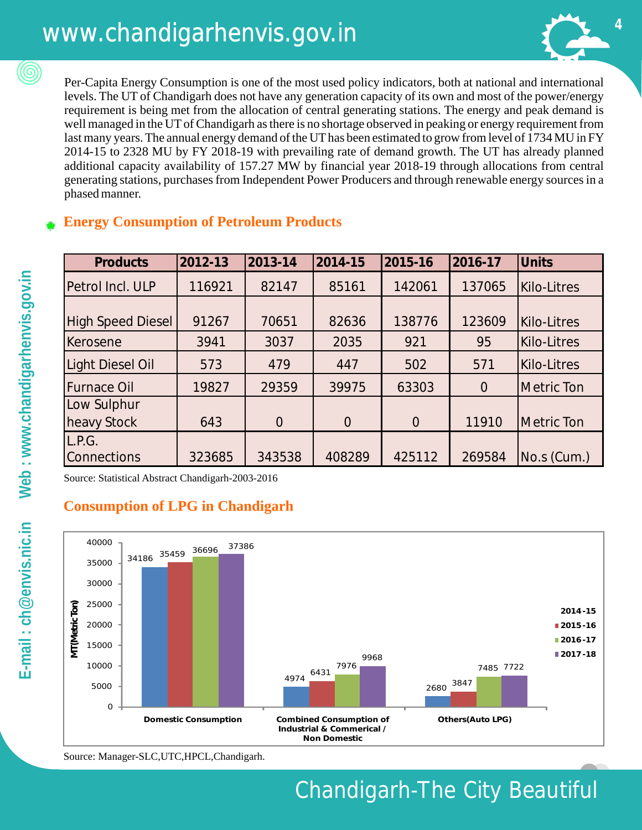### www.chandigarhenvis.gov.in **<sup>4</sup>**



Per-Capita Energy Consumption is one of the most used policy indicators, both at national and international levels. The UT of Chandigarh does not have any generation capacity of its own and most of the power/energy requirement is being met from the allocation of central generating stations. The energy and peak demand is well managed in the UT of Chandigarh as there is no shortage observed in peaking or energy requirement from last many years. The annual energy demand of the UT has been estimated to grow from level of 1734 MU in FY 2014-15 to 2328 MU by FY 2018-19 with prevailing rate of demand growth. The UT has already planned additional capacity availability of 157.27 MW by financial year 2018-19 through allocations from central generating stations, purchases from Independent Power Producers and through renewable energy sources in a phased manner.

#### **Energy Consumption of Petroleum Products**

| <b>Products</b>          | 2012-13 | 2013-14  | 2014-15  | 2015-16        | 2016-17        | <b>Units</b> |
|--------------------------|---------|----------|----------|----------------|----------------|--------------|
| Petrol Incl. ULP         | 116921  | 82147    | 85161    | 142061         | 137065         | Kilo-Litres  |
| <b>High Speed Diesel</b> | 91267   | 70651    | 82636    | 138776         | 123609         | Kilo-Litres  |
| Kerosene                 | 3941    | 3037     | 2035     | 921            | 95             | Kilo-Litres  |
| Light Diesel Oil         | 573     | 479      | 447      | 502            | 571            | Kilo-Litres  |
| <b>Furnace Oil</b>       | 19827   | 29359    | 39975    | 63303          | $\overline{0}$ | Metric Ton   |
| Low Sulphur              |         |          |          |                |                |              |
| heavy Stock              | 643     | $\Omega$ | $\Omega$ | $\overline{0}$ | 11910          | Metric Ton   |
| L.P.G.                   |         |          |          |                |                |              |
| <b>Connections</b>       | 323685  | 343538   | 408289   | 425112         | 269584         | No.s (Cum.)  |

Source: Statistical Abstract Chandigarh-2003-2016

#### **Consumption of LPG in Chandigarh**



Source: Manager-SLC,UTC,HPCL,Chandigarh.

(©)

### Chandigarh-The City Beautiful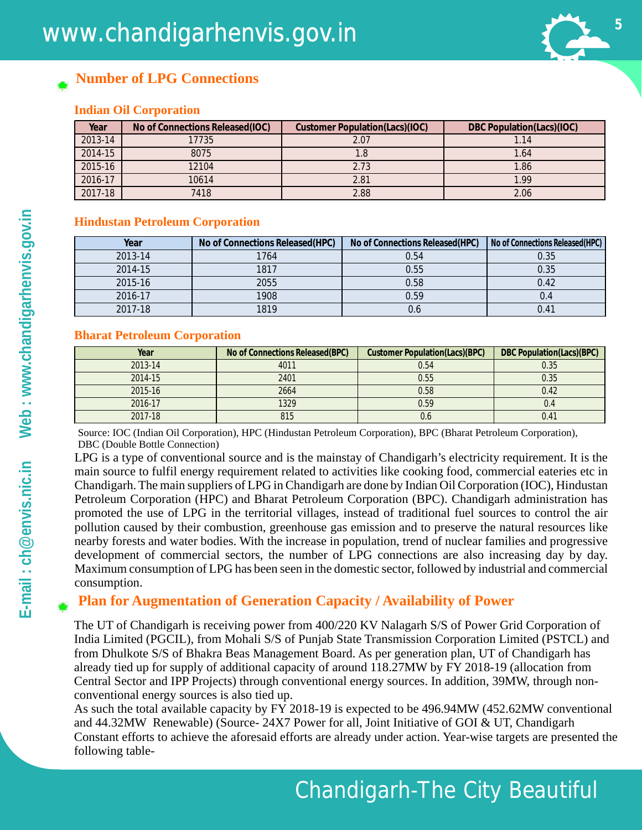

#### **Number of LPG Connections**

#### **Indian Oil Corporation**

| Year    | No of Connections Released (IOC) | Customer Population(Lacs)(IOC) | DBC Population(Lacs)(IOC) |
|---------|----------------------------------|--------------------------------|---------------------------|
| 2013-14 | 17735                            | 2.07                           |                           |
| 2014-15 | 8075                             |                                | 1.64                      |
| 2015-16 | 12104                            | 2.73                           | 1.86                      |
| 2016-17 | 10614                            | 2.81                           | 1.99                      |
| 2017-18 | 7418                             | 2.88                           | 2.06                      |

#### **Hindustan Petroleum Corporation**

| Year    | No of Connections Released (HPC) | No of Connections Released (HPC) | No of Connections Released (HPC) |
|---------|----------------------------------|----------------------------------|----------------------------------|
| 2013-14 | 1764                             | 0.54                             | 0.35                             |
| 2014-15 | 1817                             | 0.55                             | 0.35                             |
| 2015-16 | 2055                             | 0.58                             | 0.42                             |
| 2016-17 | 1908                             | 0.59                             | 0.4                              |
| 2017-18 | 1819                             | 0.6                              | 0.41                             |

#### **Bharat Petroleum Corporation**

| Year    | No of Connections Released (BPC) | Customer Population(Lacs)(BPC) | DBC Population(Lacs)(BPC) |
|---------|----------------------------------|--------------------------------|---------------------------|
| 2013-14 | 4011                             | 0.54                           | 0.35                      |
| 2014-15 | 2401                             | 0.55                           | 0.35                      |
| 2015-16 | 2664                             | 0.58                           | 0.42                      |
| 2016-17 | 1329                             | 0.59                           | 0.4                       |
| 2017-18 | 815                              | 0.6                            | 0.41                      |

Source: IOC (Indian Oil Corporation), HPC (Hindustan Petroleum Corporation), BPC (Bharat Petroleum Corporation), DBC (Double Bottle Connection)

LPG is a type of conventional source and is the mainstay of Chandigarh's electricity requirement. It is the main source to fulfil energy requirement related to activities like cooking food, commercial eateries etc in Chandigarh. The main suppliers of LPG in Chandigarh are done by Indian Oil Corporation (IOC), Hindustan Petroleum Corporation (HPC) and Bharat Petroleum Corporation (BPC). Chandigarh administration has promoted the use of LPG in the territorial villages, instead of traditional fuel sources to control the air pollution caused by their combustion, greenhouse gas emission and to preserve the natural resources like nearby forests and water bodies. With the increase in population, trend of nuclear families and progressive development of commercial sectors, the number of LPG connections are also increasing day by day. Maximum consumption of LPG has been seen in the domestic sector, followed by industrial and commercial consumption.

#### **Plan for Augmentation of Generation Capacity / Availability of Power**

The UT of Chandigarh is receiving power from 400/220 KV Nalagarh S/S of Power Grid Corporation of India Limited (PGCIL), from Mohali S/S of Punjab State Transmission Corporation Limited (PSTCL) and from Dhulkote S/S of Bhakra Beas Management Board. As per generation plan, UT of Chandigarh has already tied up for supply of additional capacity of around 118.27MW by FY 2018-19 (allocation from Central Sector and IPP Projects) through conventional energy sources. In addition, 39MW, through nonconventional energy sources is also tied up.

As such the total available capacity by FY 2018-19 is expected to be 496.94MW (452.62MW conventional and 44.32MW Renewable) (Source- 24X7 Power for all, Joint Initiative of GOI & UT, Chandigarh Constant efforts to achieve the aforesaid efforts are already under action. Year-wise targets are presented the following table-

Chandigarh-The City Beautiful Beautiful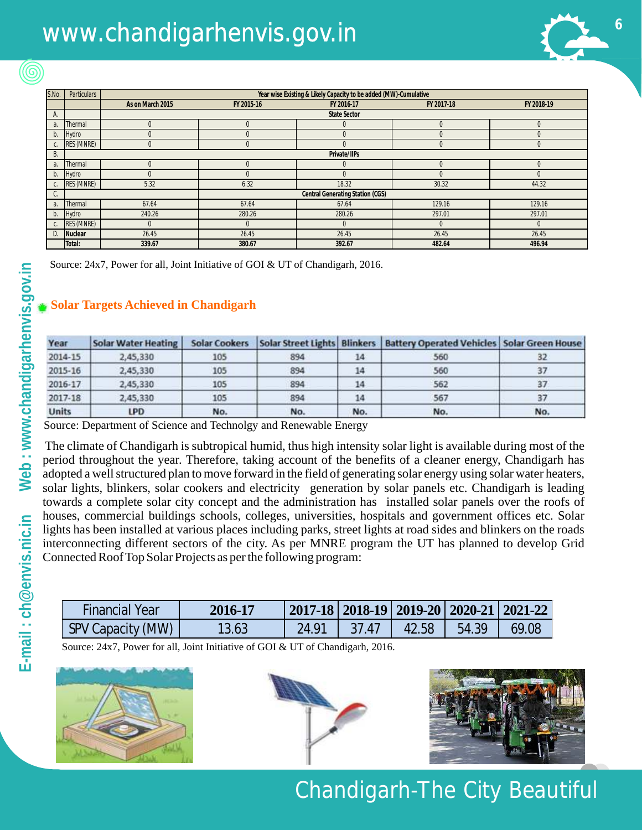## www.chandigarhenvis.gov.in **6**



| S.No.          | <b>Particulars</b> |                                  | Year wise Existing & Likely Capacity to be added (MW)-Cumulative |                     |            |            |  |  |
|----------------|--------------------|----------------------------------|------------------------------------------------------------------|---------------------|------------|------------|--|--|
|                |                    | As on March 2015                 | FY 2015-16                                                       | FY 2016-17          | FY 2017-18 | FY 2018-19 |  |  |
| А.             |                    |                                  |                                                                  | <b>State Sector</b> |            |            |  |  |
| a.             | Thermal            | $\Omega$                         | $\Omega$                                                         |                     | O          | 0          |  |  |
| b.             | Hydro              |                                  |                                                                  |                     |            | 0          |  |  |
| C.             | RES (MNRE)         | $\Omega$                         | $\cup$                                                           | $^{(1)}$            | 0          | 0          |  |  |
| В.             |                    | Private/IIPs                     |                                                                  |                     |            |            |  |  |
| $a_{\cdot}$    | Thermal            | $\Omega$                         | $\Omega$                                                         | 0                   | 0          | 0          |  |  |
| b.             | Hydro              |                                  |                                                                  |                     | $\Omega$   | $\Omega$   |  |  |
|                | <b>RES (MNRE)</b>  | 5.32                             | 6.32                                                             | 18.32               | 30.32      | 44.32      |  |  |
| C.             |                    | Central Generating Station (CGS) |                                                                  |                     |            |            |  |  |
| a <sub>r</sub> | Thermal            | 67.64                            | 67.64                                                            | 67.64               | 129.16     | 129.16     |  |  |
| b.             | Hydro              | 240.26                           | 280.26                                                           | 280.26              | 297.01     | 297.01     |  |  |
|                | <b>RES (MNRE)</b>  |                                  | $\Omega$                                                         | 0                   | $\Omega$   | $\Omega$   |  |  |
| D.             | Nuclear            | 26.45                            | 26.45                                                            | 26.45               | 26.45      | 26.45      |  |  |
|                | Total:             | 339.67                           | 380.67                                                           | 392.67              | 482.64     | 496.94     |  |  |

Source: 24x7, Power for all, Joint Initiative of GOI & UT of Chandigarh, 2016.

#### **Solar Targets Achieved in Chandigarh**

| Year         | <b>Solar Water Heating</b> | <b>Solar Cookers</b> |     |     | Solar Street Lights   Blinkers   Battery Operated Vehicles   Solar Green House |     |
|--------------|----------------------------|----------------------|-----|-----|--------------------------------------------------------------------------------|-----|
| 2014-15      | 2,45,330                   | 105                  | 894 | 14  | 560                                                                            | 32  |
| 2015-16      | 2,45,330                   | 105                  | 894 | 14  | 560                                                                            | 37  |
| 2016-17      | 2,45,330                   | 105                  | 894 | 14  | 562                                                                            | 37  |
| 2017-18      | 2,45,330                   | 105                  | 894 |     | 567                                                                            | 37  |
| <b>Units</b> | <b>LPD</b>                 | No.                  | No. | No. | No.                                                                            | No. |

Source: Department of Science and Technolgy and Renewable Energy

The climate of Chandigarh is subtropical humid, thus high intensity solar light is available during most of the period throughout the year. Therefore, taking account of the benefits of a cleaner energy, Chandigarh has adopted a well structured plan to move forward in the field of generating solar energy using solar water heaters, solar lights, blinkers, solar cookers and electricity generation by solar panels etc. Chandigarh is leading towards a complete solar city concept and the administration has installed solar panels over the roofs of houses, commercial buildings schools, colleges, universities, hospitals and government offices etc. Solar lights has been installed at various places including parks, street lights at road sides and blinkers on the roads interconnecting different sectors of the city. As per MNRE program the UT has planned to develop Grid Connected Roof Top Solar Projects as per the following program:

| <b>Financial Year</b> | 2016-17 |       | 2017-18   2018-19   2019-20   2020-21   2021-22 |       |       |       |
|-----------------------|---------|-------|-------------------------------------------------|-------|-------|-------|
| SPV Capacity (MW)     | 13.63   | 24.91 | - 37 47                                         | 42.58 | 54.39 | 69.08 |

Source: 24x7, Power for all, Joint Initiative of GOI & UT of Chandigarh, 2016.







### Chandigarh-The City Beautiful

 $\circledcirc$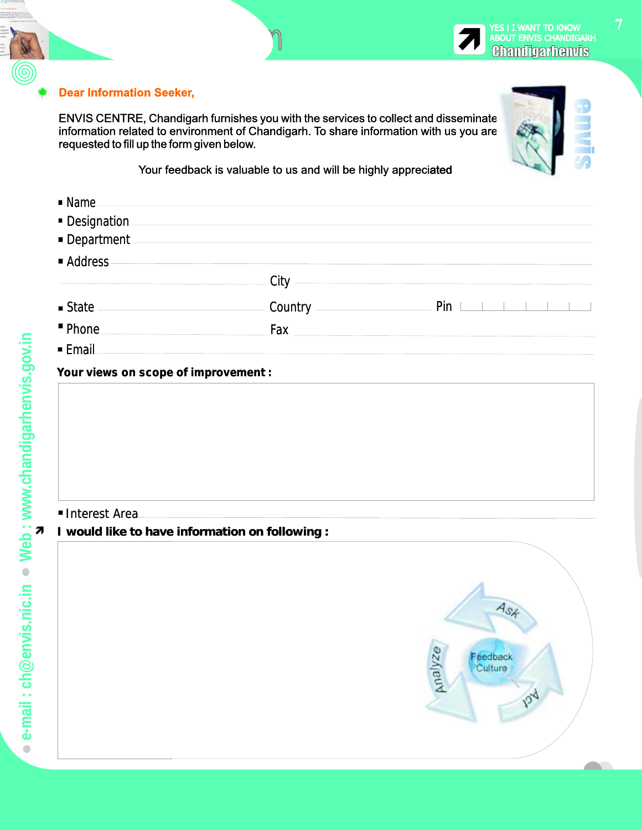#### **Dear Information Seeker,**

 $\Gamma$ 

ENVIS CENTRE, Chandigarh furnishes you with the services to collect and disseminate information related to environment of Chandigarh. To share information with us you are requested to fill up the form given below.

Form

Your feedback is valuable to us and will be highly appreciated

| $\blacksquare$ Name                 |                    |                                |
|-------------------------------------|--------------------|--------------------------------|
| Designation                         |                    |                                |
| Department                          |                    |                                |
| Address                             |                    |                                |
|                                     | $\sim$ City $\sim$ |                                |
| $\blacksquare$ State $\blacksquare$ | Country            | $Pin \perp$<br><b>Contract</b> |
| " Phone                             |                    |                                |
| $\blacksquare$ Email                |                    |                                |

#### **Your views on scope of improvement : :**

#### Interest Area Area

• **I would like to have information on following :**

|         | As       |  |
|---------|----------|--|
|         | Feedback |  |
| Analyze | Culture  |  |
|         | Q        |  |
|         |          |  |

YES ! I WANT TO KNOW<br>ABOUT ENVIS CHANDIGARH<br>**GIRANILIGATIDENVIS**